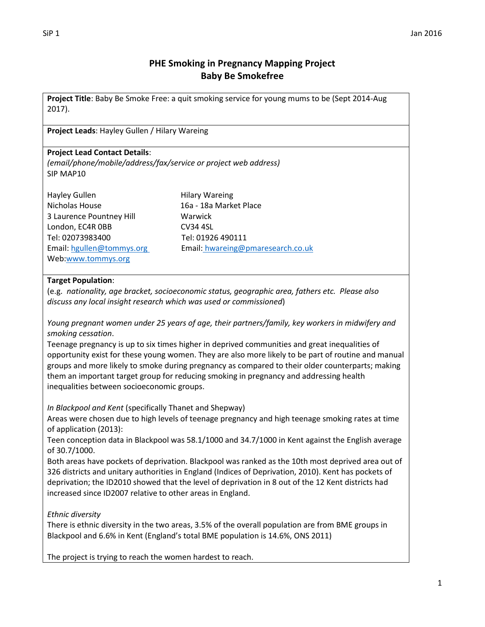# **PHE Smoking in Pregnancy Mapping Project Baby Be Smokefree**

**Project Title**: Baby Be Smoke Free: a quit smoking service for young mums to be (Sept 2014-Aug 2017).

**Project Leads**: Hayley Gullen / Hilary Wareing

### **Project Lead Contact Details**:

*(email/phone/mobile/address/fax/service or project web address)* SIP MAP10

| Hayley Gullen             | Hil |
|---------------------------|-----|
| Nicholas House            | 16  |
| 3 Laurence Pountney Hill  | w   |
| London, EC4R OBB          | C٧  |
| Tel: 02073983400          | Тe  |
| Email: hgullen@tommys.org | Fn  |
| Web:www.tommys.org        |     |

lary Wareing a - 18a Market Place 'arwick /34 4SL el: 01926 490111 nail: hwareing@pmaresearch.co.uk

### **Target Population**:

(e.g. *nationality, age bracket, socioeconomic status, geographic area, fathers etc. Please also discuss any local insight research which was used or commissioned*)

*Young pregnant women under 25 years of age, their partners/family, key workers in midwifery and smoking cessation*.

Teenage pregnancy is up to six times higher in deprived communities and great inequalities of opportunity exist for these young women. They are also more likely to be part of routine and manual groups and more likely to smoke during pregnancy as compared to their older counterparts; making them an important target group for reducing smoking in pregnancy and addressing health inequalities between socioeconomic groups.

*In Blackpool and Kent* (specifically Thanet and Shepway)

Areas were chosen due to high levels of teenage pregnancy and high teenage smoking rates at time of application (2013):

Teen conception data in Blackpool was 58.1/1000 and 34.7/1000 in Kent against the English average of 30.7/1000.

Both areas have pockets of deprivation. Blackpool was ranked as the 10th most deprived area out of 326 districts and unitary authorities in England (Indices of Deprivation, 2010). Kent has pockets of deprivation; the ID2010 showed that the level of deprivation in 8 out of the 12 Kent districts had increased since ID2007 relative to other areas in England.

*Ethnic diversity*

There is ethnic diversity in the two areas, 3.5% of the overall population are from BME groups in Blackpool and 6.6% in Kent (England's total BME population is 14.6%, ONS 2011)

The project is trying to reach the women hardest to reach.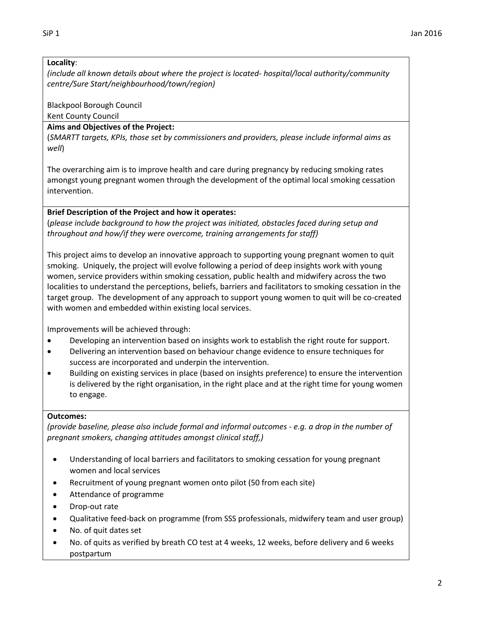## **Locality**:

*(include all known details about where the project is located- hospital/local authority/community centre/Sure Start/neighbourhood/town/region)*

Blackpool Borough Council

Kent County Council

# **Aims and Objectives of the Project:**

(*SMARTT targets, KPIs, those set by commissioners and providers, please include informal aims as well*)

The overarching aim is to improve health and care during pregnancy by reducing smoking rates amongst young pregnant women through the development of the optimal local smoking cessation intervention.

# **Brief Description of the Project and how it operates:**

(*please include background to how the project was initiated, obstacles faced during setup and throughout and how/if they were overcome, training arrangements for staff)*

This project aims to develop an innovative approach to supporting young pregnant women to quit smoking. Uniquely, the project will evolve following a period of deep insights work with young women, service providers within smoking cessation, public health and midwifery across the two localities to understand the perceptions, beliefs, barriers and facilitators to smoking cessation in the target group. The development of any approach to support young women to quit will be co-created with women and embedded within existing local services.

Improvements will be achieved through:

- Developing an intervention based on insights work to establish the right route for support.
- Delivering an intervention based on behaviour change evidence to ensure techniques for success are incorporated and underpin the intervention.
- Building on existing services in place (based on insights preference) to ensure the intervention is delivered by the right organisation, in the right place and at the right time for young women to engage.

# **Outcomes:**

*(provide baseline, please also include formal and informal outcomes - e.g. a drop in the number of pregnant smokers, changing attitudes amongst clinical staff,)*

- Understanding of local barriers and facilitators to smoking cessation for young pregnant women and local services
- Recruitment of young pregnant women onto pilot (50 from each site)
- Attendance of programme
- Drop-out rate
- Qualitative feed-back on programme (from SSS professionals, midwifery team and user group)
- No. of quit dates set
- No. of quits as verified by breath CO test at 4 weeks, 12 weeks, before delivery and 6 weeks postpartum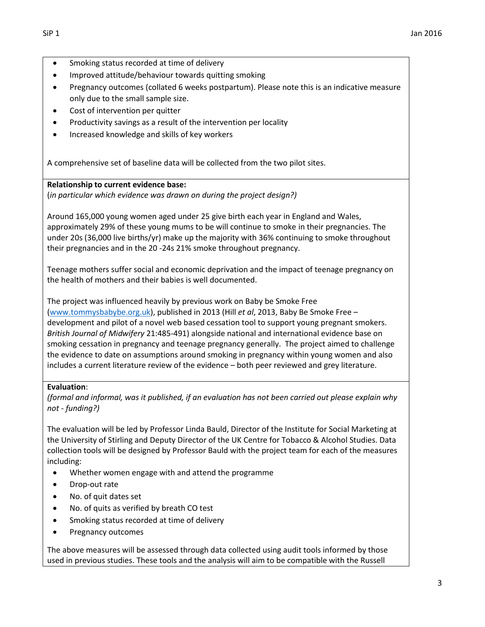- 
- Smoking status recorded at time of delivery
- Improved attitude/behaviour towards quitting smoking
- Pregnancy outcomes (collated 6 weeks postpartum). Please note this is an indicative measure only due to the small sample size.
- Cost of intervention per quitter
- Productivity savings as a result of the intervention per locality
- Increased knowledge and skills of key workers

A comprehensive set of baseline data will be collected from the two pilot sites.

### **Relationship to current evidence base:**

(*in particular which evidence was drawn on during the project design?)*

Around 165,000 young women aged under 25 give birth each year in England and Wales, approximately 29% of these young mums to be will continue to smoke in their pregnancies. The under 20s (36,000 live births/yr) make up the majority with 36% continuing to smoke throughout their pregnancies and in the 20 -24s 21% smoke throughout pregnancy.

Teenage mothers suffer social and economic deprivation and the impact of teenage pregnancy on the health of mothers and their babies is well documented.

The project was influenced heavily by previous work on Baby be Smoke Free [\(www.tommysbabybe.org.uk\)](http://www.tommysbabybe.org.uk/), published in 2013 (Hill *et al*, 2013, Baby Be Smoke Free – development and pilot of a novel web based cessation tool to support young pregnant smokers. *British Journal of Midwifery* 21:485-491) alongside national and international evidence base on smoking cessation in pregnancy and teenage pregnancy generally. The project aimed to challenge the evidence to date on assumptions around smoking in pregnancy within young women and also includes a current literature review of the evidence – both peer reviewed and grey literature.

## **Evaluation**:

*(formal and informal, was it published, if an evaluation has not been carried out please explain why not - funding?)*

The evaluation will be led by Professor Linda Bauld, Director of the Institute for Social Marketing at the University of Stirling and Deputy Director of the UK Centre for Tobacco & Alcohol Studies. Data collection tools will be designed by Professor Bauld with the project team for each of the measures including:

- Whether women engage with and attend the programme
- Drop-out rate
- No. of quit dates set
- No. of quits as verified by breath CO test
- Smoking status recorded at time of delivery
- Pregnancy outcomes

The above measures will be assessed through data collected using audit tools informed by those used in previous studies. These tools and the analysis will aim to be compatible with the Russell